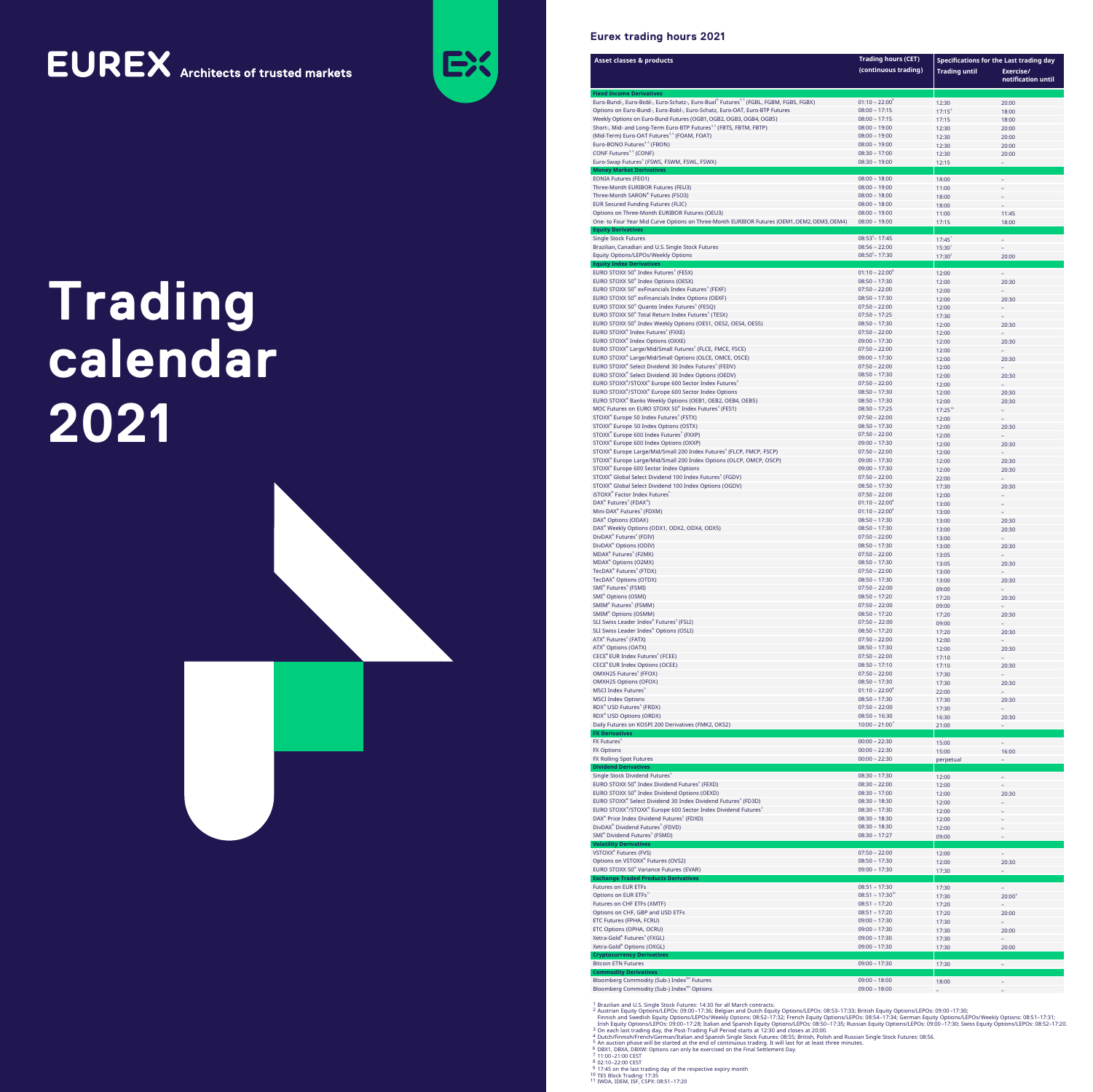# **EUREX** Architects of trusted markets



## **Eurex trading hours 2021**

| <b>Asset classes &amp; products</b>                                                                                                                   | <b>Trading hours (CET)</b>              | <b>Specifications for the Last trading day</b> |                                 |  |  |  |
|-------------------------------------------------------------------------------------------------------------------------------------------------------|-----------------------------------------|------------------------------------------------|---------------------------------|--|--|--|
|                                                                                                                                                       | (continuous trading)                    | <b>Trading until</b>                           | Exercise/<br>notification until |  |  |  |
| <b>Fixed Income Derivatives</b><br>Euro-Bund-, Euro-Bobl-, Euro-Schatz-, Euro-Buxl® Futures <sup>3.5</sup> (FGBL, FGBM, FGBS, FGBX)                   | $01:10 - 22:00^8$                       | 12:30                                          | 20:00                           |  |  |  |
| Options on Euro-Bund-, Euro-Bobl-, Euro-Schatz, Euro-OAT, Euro-BTP Futures                                                                            | $08:00 - 17:15$                         | $17:15^{\circ}$                                | 18:00                           |  |  |  |
| Weekly Options on Euro-Bund Futures (OGB1, OGB2, OGB3, OGB4, OGB5)<br>Short-, Mid- and Long-Term Euro-BTP Futures <sup>3,5</sup> (FBTS, FBTM, FBTP)   | $08:00 - 17:15$<br>$08:00 - 19:00$      | 17:15                                          | 18:00                           |  |  |  |
| (Mid-Term) Euro-OAT Futures <sup>3,5</sup> (FOAM, FOAT)                                                                                               | $08:00 - 19:00$                         | 12:30<br>12:30                                 | 20:00<br>20:00                  |  |  |  |
| Euro-BONO Futures <sup>3,5</sup> (FBON)<br>CONF Futures <sup>3,5</sup> (CONF)                                                                         | $08:00 - 19:00$<br>$08:30 - 17:00$      | 12:30                                          | 20:00                           |  |  |  |
| Euro-Swap Futures <sup>5</sup> (FSWS, FSWM, FSWL, FSWX)                                                                                               | $08:30 - 19:00$                         | 12:30<br>12:15                                 | 20:00                           |  |  |  |
| <b>Money Market Derivatives</b><br><b>EONIA Futures (FEO1)</b>                                                                                        | $08:00 - 18:00$                         | 18:00                                          |                                 |  |  |  |
| Three-Month EURIBOR Futures (FEU3)                                                                                                                    | $08:00 - 19:00$                         | 11:00                                          |                                 |  |  |  |
| Three-Month SARON® Futures (FSO3)<br>EUR Secured Funding Futures (FLIC)                                                                               | $08:00 - 18:00$<br>$08:00 - 18:00$      | 18:00<br>18:00                                 |                                 |  |  |  |
| Options on Three-Month EURIBOR Futures (OEU3)                                                                                                         | $08:00 - 19:00$                         | 11:00                                          | 11:45                           |  |  |  |
| One- to Four Year Mid Curve Options on Three-Month EURIBOR Futures (OEM1, OEM2, OEM3, OEM4)<br><b>Equity Derivatives</b>                              | $08:00 - 19:00$                         | 17:15                                          | 18:00                           |  |  |  |
| <b>Single Stock Futures</b><br>Brazilian, Canadian and U.S. Single Stock Futures                                                                      | $08:53^{4} - 17:45$<br>$08:56 - 22:00$  | $17:45^1$                                      |                                 |  |  |  |
| Equity Options/LEPOs/Weekly Options                                                                                                                   | $08:50^2 - 17:30$                       | $15:30^{1}$<br>$17:30^{2}$                     | 20:00                           |  |  |  |
| <b>Equity Index Derivatives</b><br>EURO STOXX 50 <sup>®</sup> Index Futures <sup>5</sup> (FESX)                                                       | $01:10 - 22:00^8$                       | 12:00                                          | $\equiv$                        |  |  |  |
| EURO STOXX 50 <sup>®</sup> Index Options (OESX)                                                                                                       | $08:50 - 17:30$                         | 12:00                                          | 20:30                           |  |  |  |
| EURO STOXX 50 <sup>®</sup> exFinancials Index Futures <sup>5</sup> (FEXF)<br>EURO STOXX 50 <sup>®</sup> exFinancials Index Options (OEXF)             | $07:50 - 22:00$<br>$08:50 - 17:30$      | 12:00<br>12:00                                 | 20:30                           |  |  |  |
| EURO STOXX 50 <sup>®</sup> Quanto Index Futures <sup>5</sup> (FESQ)                                                                                   | $07:50 - 22:00$                         | 12:00                                          |                                 |  |  |  |
| EURO STOXX 50 <sup>®</sup> Total Return Index Futures <sup>5</sup> (TESX)<br>EURO STOXX 50 <sup>®</sup> Index Weekly Options (OES1, OES2, OES4, OES5) | $07:50 - 17:25$<br>$08:50 - 17:30$      | 17:30                                          | 20:30                           |  |  |  |
| EURO STOXX® Index Futures <sup>5</sup> (FXXE)                                                                                                         | $07:50 - 22:00$                         | 12:00<br>12:00                                 |                                 |  |  |  |
| EURO STOXX® Index Options (OXXE)                                                                                                                      | $09:00 - 17:30$                         | 12:00                                          | 20:30                           |  |  |  |
| EURO STOXX® Large/Mid/Small Futures <sup>5</sup> (FLCE, FMCE, FSCE)<br>EURO STOXX® Large/Mid/Small Options (OLCE, OMCE, OSCE)                         | $07:50 - 22:00$<br>$09:00 - 17:30$      | 12:00<br>12:00                                 | 20:30                           |  |  |  |
| EURO STOXX® Select Dividend 30 Index Futures <sup>5</sup> (FEDV)                                                                                      | $07:50 - 22:00$                         | 12:00                                          |                                 |  |  |  |
| EURO STOXX® Select Dividend 30 Index Options (OEDV)<br>EURO STOXX®/STOXX® Europe 600 Sector Index Futures <sup>5</sup>                                | $08:50 - 17:30$<br>$07:50 - 22:00$      | 12:00<br>12:00                                 | 20:30                           |  |  |  |
| EURO STOXX®/STOXX® Europe 600 Sector Index Options                                                                                                    | $08:50 - 17:30$                         | 12:00                                          | 20:30                           |  |  |  |
| EURO STOXX® Banks Weekly Options (OEB1, OEB2, OEB4, OEB5)                                                                                             | $08:50 - 17:30$                         | 12:00                                          | 20:30                           |  |  |  |
| MOC Futures on EURO STOXX 50 <sup>®</sup> Index Futures <sup>5</sup> (FES1)<br>STOXX® Europe 50 Index Futures <sup>5</sup> (FSTX)                     | $08:50 - 17:25$<br>$07:50 - 22:00$      | $17:25^{10}$<br>12:00                          |                                 |  |  |  |
| STOXX® Europe 50 Index Options (OSTX)                                                                                                                 | $08:50 - 17:30$                         | 12:00                                          | 20:30                           |  |  |  |
| STOXX® Europe 600 Index Futures <sup>5</sup> (FXXP)<br>STOXX® Europe 600 Index Options (OXXP)                                                         | $07:50 - 22:00$<br>$09:00 - 17:30$      | 12:00<br>12:00                                 | 20:30                           |  |  |  |
| STOXX <sup>®</sup> Europe Large/Mid/Small 200 Index Futures <sup>5</sup> (FLCP, FMCP, FSCP)                                                           | $07:50 - 22:00$                         | 12:00                                          |                                 |  |  |  |
| STOXX® Europe Large/Mid/Small 200 Index Options (OLCP, OMCP, OSCP)                                                                                    | $09:00 - 17:30$                         | 12:00                                          | 20:30                           |  |  |  |
| STOXX® Europe 600 Sector Index Options<br>STOXX® Global Select Dividend 100 Index Futures <sup>5</sup> (FGDV)                                         | $09:00 - 17:30$<br>$07:50 - 22:00$      | 12:00<br>22:00                                 | 20:30                           |  |  |  |
| STOXX® Global Select Dividend 100 Index Options (OGDV)                                                                                                | $08:50 - 17:30$                         | 17:30                                          | 20:30                           |  |  |  |
| iSTOXX® Factor Index Futures<br>DAX® Futures <sup>5</sup> (FDAX®)                                                                                     | $07:50 - 22:00$<br>$01:10 - 22:00^8$    | 12:00<br>13:00                                 |                                 |  |  |  |
| Mini-DAX® Futures <sup>5</sup> (FDXM)                                                                                                                 | $01:10 - 22:00^8$                       | 13:00                                          |                                 |  |  |  |
| DAX <sup>®</sup> Options (ODAX)<br>DAX® Weekly Options (ODX1, ODX2, ODX4, ODX5)                                                                       | $08:50 - 17:30$<br>$08:50 - 17:30$      | 13:00                                          | 20:30                           |  |  |  |
| DivDAX® Futures <sup>5</sup> (FDIV)                                                                                                                   | $07:50 - 22:00$                         | 13:00<br>13:00                                 | 20:30                           |  |  |  |
| DivDAX® Options (ODIV)                                                                                                                                | $08:50 - 17:30$                         | 13:00                                          | 20:30                           |  |  |  |
| MDAX® Futures <sup>5</sup> (F2MX)<br>MDAX <sup>®</sup> Options (O2MX)                                                                                 | $07:50 - 22:00$<br>$08:50 - 17:30$      | 13:05<br>13:05                                 | 20:30                           |  |  |  |
| TecDAX® Futures <sup>5</sup> (FTDX)                                                                                                                   | $07:50 - 22:00$                         | 13:00                                          |                                 |  |  |  |
| TecDAX® Options (OTDX)<br>SMI <sup>®</sup> Futures <sup>5</sup> (FSMI)                                                                                | $08:50 - 17:30$<br>$07:50 - 22:00$      | 13:00                                          | 20:30                           |  |  |  |
| SMI <sup>®</sup> Options (OSMI)                                                                                                                       | $08:50 - 17:20$                         | 09:00<br>17:20                                 | 20:30                           |  |  |  |
| SMIM® Futures <sup>5</sup> (FSMM)                                                                                                                     | $07:50 - 22:00$                         | 09:00                                          |                                 |  |  |  |
| SMIM <sup>®</sup> Options (OSMM)<br>SLI Swiss Leader Index® Futures <sup>5</sup> (FSLI)                                                               | $08:50 - 17:20$<br>$07:50 - 22:00$      | 17:20<br>09:00                                 | 20:30                           |  |  |  |
| SLI Swiss Leader Index® Options (OSLI)                                                                                                                | $08:50 - 17:20$                         | 17:20                                          | 20:30                           |  |  |  |
| ATX® Futures <sup>5</sup> (FATX)                                                                                                                      | $07:50 - 22:00$<br>$08:50 - 17:30$      | 12:00                                          |                                 |  |  |  |
| ATX® Options (OATX)<br>CECE® EUR Index Futures <sup>5</sup> (FCEE)                                                                                    | $07:50 - 22:00$                         | 12:00<br>17:10                                 | 20:30                           |  |  |  |
| CECE® EUR Index Options (OCEE)                                                                                                                        | $08:50 - 17:10$                         | 17:10                                          | 20:30                           |  |  |  |
| OMXH25 Futures <sup>5</sup> (FFOX)<br>OMXH25 Options (OFOX)                                                                                           | $07:50 - 22:00$<br>$08:50 - 17:30$      | 17:30<br>17:30                                 | 20:30                           |  |  |  |
| <b>MSCI Index Futures</b> <sup>5</sup>                                                                                                                | $01:10 - 22:00^8$                       | 22:00                                          |                                 |  |  |  |
| <b>MSCI Index Options</b><br>RDX <sup>®</sup> USD Futures <sup>5</sup> (FRDX)                                                                         | $08:50 - 17:30$<br>$07:50 - 22:00$      | 17:30                                          | 20:30                           |  |  |  |
| RDX <sup>®</sup> USD Options (ORDX)                                                                                                                   | $08:50 - 16:30$                         | 17:30<br>16:30                                 | 20:30                           |  |  |  |
| Daily Futures on KOSPI 200 Derivatives (FMK2, OKS2)<br><b>FX Derivatives</b>                                                                          | $10:00 - 21:00$                         | 21:00                                          |                                 |  |  |  |
| FX Futures <sup>5</sup>                                                                                                                               | $00:00 - 22:30$                         | 15:00                                          |                                 |  |  |  |
| <b>FX Options</b><br>FX Rolling Spot Futures                                                                                                          | $00:00 - 22:30$<br>$00:00 - 22:30$      | 15:00<br>perpetual                             | 16:00                           |  |  |  |
| <b>Dividend Derivatives</b>                                                                                                                           |                                         |                                                |                                 |  |  |  |
| Single Stock Dividend Futures <sup>5</sup><br>EURO STOXX 50 <sup>®</sup> Index Dividend Futures <sup>5</sup> (FEXD)                                   | $08:30 - 17:30$                         | 12:00                                          |                                 |  |  |  |
| EURO STOXX 50 <sup>®</sup> Index Dividend Options (OEXD)                                                                                              | $08:30 - 22:00$<br>$08:30 - 17:00$      | 12:00<br>12:00                                 | 20:30                           |  |  |  |
| EURO STOXX® Select Dividend 30 Index Dividend Futures <sup>5</sup> (FD3D)                                                                             | $08:30 - 18:30$                         | 12:00                                          |                                 |  |  |  |
| EURO STOXX®/STOXX® Europe 600 Sector Index Dividend Futures <sup>5</sup><br>DAX® Price Index Dividend Futures <sup>5</sup> (FDXD)                     | $08:30 - 17:30$<br>$08:30 - 18:30$      | 12:00<br>12:00                                 |                                 |  |  |  |
| DivDAX® Dividend Futures <sup>5</sup> (FDVD)                                                                                                          | $08:30 - 18:30$                         | 12:00                                          |                                 |  |  |  |
| SMI <sup>®</sup> Dividend Futures <sup>5</sup> (FSMD)<br><b>Volatility Derivatives</b>                                                                | $08:30 - 17:27$                         | 09:00                                          |                                 |  |  |  |
| VSTOXX® Futures (FVS)                                                                                                                                 | $07:50 - 22:00$                         | 12:00                                          | $\equiv$                        |  |  |  |
| Options on VSTOXX® Futures (OVS2)<br>EURO STOXX 50 <sup>®</sup> Variance Futures (EVAR)                                                               | $08:50 - 17:30$<br>$09:00 - 17:30$      | 12:00                                          | 20:30                           |  |  |  |
| <b>Exchange Traded Products Derivatives</b>                                                                                                           |                                         | 17:30                                          |                                 |  |  |  |
| <b>Futures on EUR ETFs</b>                                                                                                                            | $08:51 - 17:30$                         | 17:30                                          |                                 |  |  |  |
| Options on EUR ETFs <sup>11</sup><br>Futures on CHF ETFs (XMTF)                                                                                       | $08:51 - 17:30^{10}$<br>$08:51 - 17:20$ | 17:30<br>17:20                                 | $20:00^6$                       |  |  |  |
| Options on CHF, GBP and USD ETFs                                                                                                                      | $08:51 - 17:20$                         | 17:20                                          | 20:00                           |  |  |  |
| ETC Futures (FPHA, FCRU)                                                                                                                              | $09:00 - 17:30$                         | 17:30                                          |                                 |  |  |  |
| ETC Options (OPHA, OCRU)<br>Xetra-Gold® Futures <sup>5</sup> (FXGL)                                                                                   | $09:00 - 17:30$<br>$09:00 - 17:30$      | 17:30<br>17:30                                 | 20:00                           |  |  |  |
| Xetra-Gold <sup>®</sup> Options (OXGL)                                                                                                                | $09:00 - 17:30$                         | 17:30                                          | 20:00                           |  |  |  |
| <b>Cryptocurrency Derivatives</b><br><b>Bitcoin ETN Futures</b>                                                                                       | $09:00 - 17:30$                         | 17:30                                          | ÷,                              |  |  |  |
| <b>Commodity Derivatives</b>                                                                                                                          |                                         |                                                |                                 |  |  |  |
| Bloomberg Commodity (Sub-) Index <sup>5M</sup> Futures<br>Bloomberg Commodity (Sub-) Index <sup>5M</sup> Options                                      | $09:00 - 18:00$<br>$09:00 - 18:00$      | 18:00                                          |                                 |  |  |  |

# Trading calendar 2021

1 Brazilian and U.S. Single Stock Futures: 14:30 for all March contracts.<br>2 Austrian Equity Options/LEPOs: 09:00–17:36; Belgian and Dutch Equity Options/LEPOs: 08:53–17:33; British Equity Options/LEPOs: 09:00–17:30;<br>1 Finn a On each last trading day, the Post-Trading Full Period starts at 12:30 and closes at 20:00.<br>4 Dutch/Finnish/French/German/Italian and Spanish Single Stock Futures: 08:55; British, Polish and Russian Single Stock Futures: Final Settlement Day.<br>
FINISH DEXA, DEXA, DEXA, Options can only be exercised on the Final Settlement Day.<br>
<sup>7</sup> 11:00–21:00 CEST<br>
<sup>8</sup> 02:10–22:00 CEST 9 17:45 on the last trading day of the respective expiry month<br>10 TES Block Trading: 17:35<br><sup>11</sup> IWDA, IDEM, ISF, CSPX: 08:51-17:20